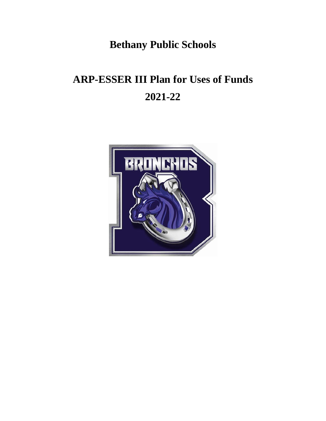**Bethany Public Schools**

# **ARP-ESSER III Plan for Uses of Funds 2021-22**

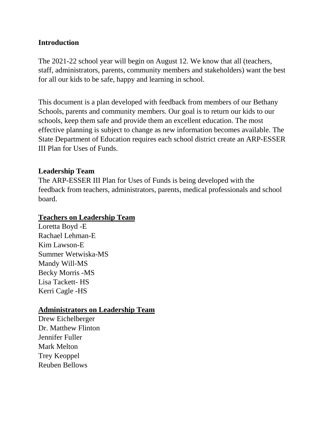## **Introduction**

The 2021-22 school year will begin on August 12. We know that all (teachers, staff, administrators, parents, community members and stakeholders) want the best for all our kids to be safe, happy and learning in school.

This document is a plan developed with feedback from members of our Bethany Schools, parents and community members. Our goal is to return our kids to our schools, keep them safe and provide them an excellent education. The most effective planning is subject to change as new information becomes available. The State Department of Education requires each school district create an ARP-ESSER III Plan for Uses of Funds.

## **Leadership Team**

The ARP-ESSER III Plan for Uses of Funds is being developed with the feedback from teachers, administrators, parents, medical professionals and school board.

## **Teachers on Leadership Team**

Loretta Boyd -E Rachael Lehman-E Kim Lawson-E Summer Wetwiska-MS Mandy Will-MS Becky Morris -MS Lisa Tackett- HS Kerri Cagle -HS

## **Administrators on Leadership Team**

Drew Eichelberger Dr. Matthew Flinton Jennifer Fuller Mark Melton Trey Keoppel Reuben Bellows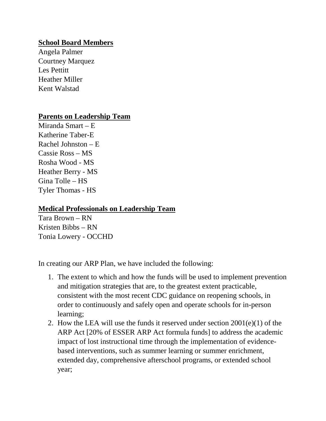## **School Board Members**

Angela Palmer Courtney Marquez Les Pettitt Heather Miller Kent Walstad

## **Parents on Leadership Team**

Miranda Smart – E Katherine Taber-E Rachel Johnston – E Cassie Ross – MS Rosha Wood - MS Heather Berry - MS Gina Tolle – HS Tyler Thomas - HS

## **Medical Professionals on Leadership Team**

Tara Brown – RN Kristen Bibbs – RN Tonia Lowery - OCCHD

In creating our ARP Plan, we have included the following:

- 1. The extent to which and how the funds will be used to implement prevention and mitigation strategies that are, to the greatest extent practicable, consistent with the most recent CDC guidance on reopening schools, in order to continuously and safely open and operate schools for in-person learning;
- 2. How the LEA will use the funds it reserved under section 2001(e)(1) of the ARP Act [20% of ESSER ARP Act formula funds] to address the academic impact of lost instructional time through the implementation of evidencebased interventions, such as summer learning or summer enrichment, extended day, comprehensive afterschool programs, or extended school year;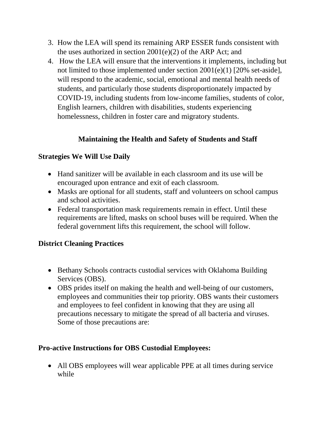- 3. How the LEA will spend its remaining ARP ESSER funds consistent with the uses authorized in section 2001(e)(2) of the ARP Act; and
- 4. How the LEA will ensure that the interventions it implements, including but not limited to those implemented under section 2001(e)(1) [20% set-aside], will respond to the academic, social, emotional and mental health needs of students, and particularly those students disproportionately impacted by COVID-19, including students from low-income families, students of color, English learners, children with disabilities, students experiencing homelessness, children in foster care and migratory students.

# **Maintaining the Health and Safety of Students and Staff**

# **Strategies We Will Use Daily**

- Hand sanitizer will be available in each classroom and its use will be encouraged upon entrance and exit of each classroom.
- Masks are optional for all students, staff and volunteers on school campus and school activities.
- Federal transportation mask requirements remain in effect. Until these requirements are lifted, masks on school buses will be required. When the federal government lifts this requirement, the school will follow.

# **District Cleaning Practices**

- Bethany Schools contracts custodial services with Oklahoma Building Services (OBS).
- OBS prides itself on making the health and well-being of our customers, employees and communities their top priority. OBS wants their customers and employees to feel confident in knowing that they are using all precautions necessary to mitigate the spread of all bacteria and viruses. Some of those precautions are:

# **Pro-active Instructions for OBS Custodial Employees:**

• All OBS employees will wear applicable PPE at all times during service while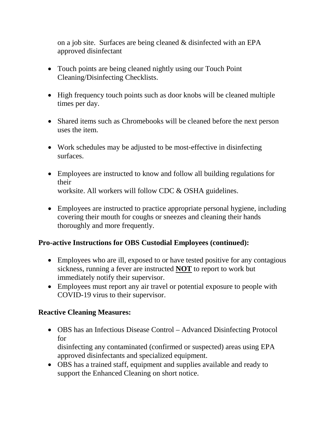on a job site. Surfaces are being cleaned & disinfected with an EPA approved disinfectant

- Touch points are being cleaned nightly using our Touch Point Cleaning/Disinfecting Checklists.
- High frequency touch points such as door knobs will be cleaned multiple times per day.
- Shared items such as Chromebooks will be cleaned before the next person uses the item.
- Work schedules may be adjusted to be most-effective in disinfecting surfaces.
- Employees are instructed to know and follow all building regulations for their worksite. All workers will follow CDC & OSHA guidelines.
- Employees are instructed to practice appropriate personal hygiene, including covering their mouth for coughs or sneezes and cleaning their hands thoroughly and more frequently.

# **Pro-active Instructions for OBS Custodial Employees (continued):**

- Employees who are ill, exposed to or have tested positive for any contagious sickness, running a fever are instructed **NOT** to report to work but immediately notify their supervisor.
- Employees must report any air travel or potential exposure to people with COVID-19 virus to their supervisor.

# **Reactive Cleaning Measures:**

• OBS has an Infectious Disease Control – Advanced Disinfecting Protocol for

disinfecting any contaminated (confirmed or suspected) areas using EPA approved disinfectants and specialized equipment.

• OBS has a trained staff, equipment and supplies available and ready to support the Enhanced Cleaning on short notice.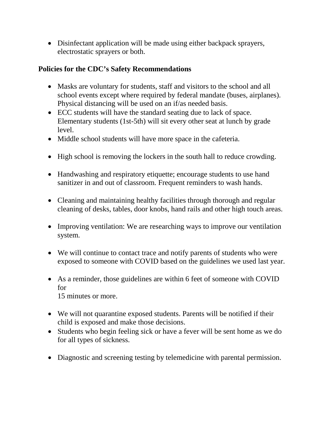• Disinfectant application will be made using either backpack sprayers, electrostatic sprayers or both.

# **Policies for the CDC's Safety Recommendations**

- Masks are voluntary for students, staff and visitors to the school and all school events except where required by federal mandate (buses, airplanes). Physical distancing will be used on an if/as needed basis.
- ECC students will have the standard seating due to lack of space. Elementary students (1st-5th) will sit every other seat at lunch by grade level.
- Middle school students will have more space in the cafeteria.
- High school is removing the lockers in the south hall to reduce crowding.
- Handwashing and respiratory etiquette; encourage students to use hand sanitizer in and out of classroom. Frequent reminders to wash hands.
- Cleaning and maintaining healthy facilities through thorough and regular cleaning of desks, tables, door knobs, hand rails and other high touch areas.
- Improving ventilation: We are researching ways to improve our ventilation system.
- We will continue to contact trace and notify parents of students who were exposed to someone with COVID based on the guidelines we used last year.
- As a reminder, those guidelines are within 6 feet of someone with COVID for 15 minutes or more.
- We will not quarantine exposed students. Parents will be notified if their child is exposed and make those decisions.
- Students who begin feeling sick or have a fever will be sent home as we do for all types of sickness.
- Diagnostic and screening testing by telemedicine with parental permission.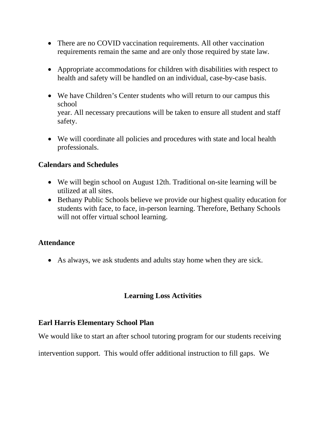- There are no COVID vaccination requirements. All other vaccination requirements remain the same and are only those required by state law.
- Appropriate accommodations for children with disabilities with respect to health and safety will be handled on an individual, case-by-case basis.
- We have Children's Center students who will return to our campus this school year. All necessary precautions will be taken to ensure all student and staff safety.
- We will coordinate all policies and procedures with state and local health professionals.

# **Calendars and Schedules**

- We will begin school on August 12th. Traditional on-site learning will be utilized at all sites.
- Bethany Public Schools believe we provide our highest quality education for students with face, to face, in-person learning. Therefore, Bethany Schools will not offer virtual school learning.

# **Attendance**

• As always, we ask students and adults stay home when they are sick.

# **Learning Loss Activities**

# **Earl Harris Elementary School Plan**

We would like to start an after school tutoring program for our students receiving

intervention support. This would offer additional instruction to fill gaps. We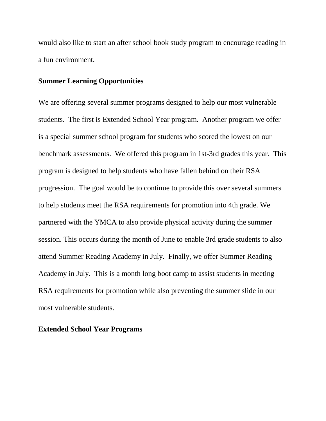would also like to start an after school book study program to encourage reading in a fun environment**.**

#### **Summer Learning Opportunities**

We are offering several summer programs designed to help our most vulnerable students. The first is Extended School Year program. Another program we offer is a special summer school program for students who scored the lowest on our benchmark assessments. We offered this program in 1st-3rd grades this year. This program is designed to help students who have fallen behind on their RSA progression. The goal would be to continue to provide this over several summers to help students meet the RSA requirements for promotion into 4th grade. We partnered with the YMCA to also provide physical activity during the summer session. This occurs during the month of June to enable 3rd grade students to also attend Summer Reading Academy in July. Finally, we offer Summer Reading Academy in July. This is a month long boot camp to assist students in meeting RSA requirements for promotion while also preventing the summer slide in our most vulnerable students.

#### **Extended School Year Programs**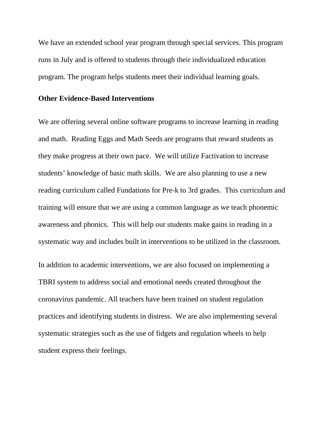We have an extended school year program through special services. This program runs in July and is offered to students through their individualized education program. The program helps students meet their individual learning goals.

#### **Other Evidence-Based Interventions**

We are offering several online software programs to increase learning in reading and math. Reading Eggs and Math Seeds are programs that reward students as they make progress at their own pace. We will utilize Factivation to increase students' knowledge of basic math skills. We are also planning to use a new reading curriculum called Fundations for Pre-k to 3rd grades. This curriculum and training will ensure that we are using a common language as we teach phonemic awareness and phonics. This will help our students make gains in reading in a systematic way and includes built in interventions to be utilized in the classroom.

In addition to academic interventions, we are also focused on implementing a TBRI system to address social and emotional needs created throughout the coronavirus pandemic. All teachers have been trained on student regulation practices and identifying students in distress. We are also implementing several systematic strategies such as the use of fidgets and regulation wheels to help student express their feelings.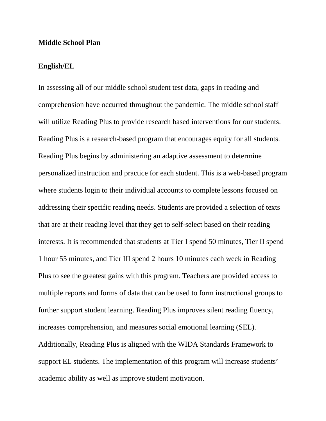#### **Middle School Plan**

#### **English/EL**

In assessing all of our middle school student test data, gaps in reading and comprehension have occurred throughout the pandemic. The middle school staff will utilize Reading Plus to provide research based interventions for our students. Reading Plus is a research-based program that encourages equity for all students. Reading Plus begins by administering an adaptive assessment to determine personalized instruction and practice for each student. This is a web-based program where students login to their individual accounts to complete lessons focused on addressing their specific reading needs. Students are provided a selection of texts that are at their reading level that they get to self-select based on their reading interests. It is recommended that students at Tier I spend 50 minutes, Tier II spend 1 hour 55 minutes, and Tier III spend 2 hours 10 minutes each week in Reading Plus to see the greatest gains with this program. Teachers are provided access to multiple reports and forms of data that can be used to form instructional groups to further support student learning. Reading Plus improves silent reading fluency, increases comprehension, and measures social emotional learning (SEL). Additionally, Reading Plus is aligned with the WIDA Standards Framework to support EL students. The implementation of this program will increase students' academic ability as well as improve student motivation.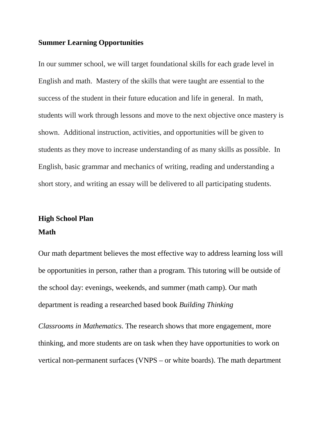#### **Summer Learning Opportunities**

In our summer school, we will target foundational skills for each grade level in English and math. Mastery of the skills that were taught are essential to the success of the student in their future education and life in general. In math, students will work through lessons and move to the next objective once mastery is shown. Additional instruction, activities, and opportunities will be given to students as they move to increase understanding of as many skills as possible. In English, basic grammar and mechanics of writing, reading and understanding a short story, and writing an essay will be delivered to all participating students.

# **High School Plan Math**

Our math department believes the most effective way to address learning loss will be opportunities in person, rather than a program. This tutoring will be outside of the school day: evenings, weekends, and summer (math camp). Our math department is reading a researched based book *Building Thinking*

*Classrooms in Mathematics*. The research shows that more engagement, more thinking, and more students are on task when they have opportunities to work on vertical non-permanent surfaces (VNPS – or white boards). The math department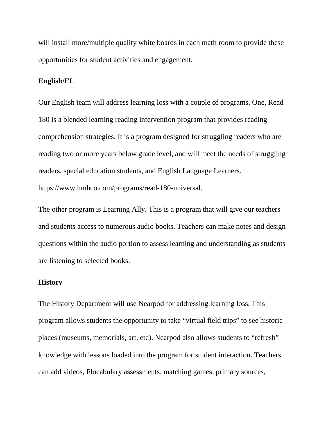will install more/multiple quality white boards in each math room to provide these opportunities for student activities and engagement.

#### **English/EL**

Our English team will address learning loss with a couple of programs. One, Read 180 is a blended learning reading intervention program that provides reading comprehension strategies. It is a program designed for struggling readers who are reading two or more years below grade level, and will meet the needs of struggling readers, special education students, and English Language Learners. https://www.hmhco.com/programs/read-180-universal.

The other program is Learning Ally. This is a program that will give our teachers and students access to numerous audio books. Teachers can make notes and design questions within the audio portion to assess learning and understanding as students are listening to selected books.

#### **History**

The History Department will use Nearpod for addressing learning loss. This program allows students the opportunity to take "virtual field trips" to see historic places (museums, memorials, art, etc). Nearpod also allows students to "refresh" knowledge with lessons loaded into the program for student interaction. Teachers can add videos, Flocabulary assessments, matching games, primary sources,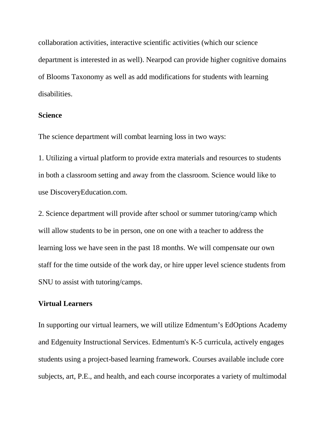collaboration activities, interactive scientific activities (which our science department is interested in as well). Nearpod can provide higher cognitive domains of Blooms Taxonomy as well as add modifications for students with learning disabilities.

#### **Science**

The science department will combat learning loss in two ways:

1. Utilizing a virtual platform to provide extra materials and resources to students in both a classroom setting and away from the classroom. Science would like to use DiscoveryEducation.com.

2. Science department will provide after school or summer tutoring/camp which will allow students to be in person, one on one with a teacher to address the learning loss we have seen in the past 18 months. We will compensate our own staff for the time outside of the work day, or hire upper level science students from SNU to assist with tutoring/camps.

#### **Virtual Learners**

In supporting our virtual learners, we will utilize Edmentum's EdOptions Academy and Edgenuity Instructional Services. Edmentum's K-5 curricula, actively engages students using a project-based learning framework. Courses available include core subjects, art, P.E., and health, and each course incorporates a variety of multimodal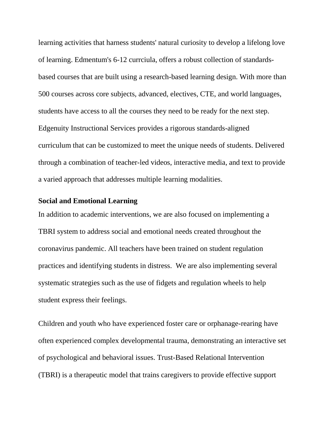learning activities that harness students' natural curiosity to develop a lifelong love of learning. Edmentum's 6-12 currciula, offers a robust collection of standardsbased courses that are built using a research-based learning design. With more than 500 courses across core subjects, advanced, electives, CTE, and world languages, students have access to all the courses they need to be ready for the next step. Edgenuity Instructional Services provides a rigorous standards-aligned curriculum that can be customized to meet the unique needs of students. Delivered through a combination of teacher-led videos, interactive media, and text to provide a varied approach that addresses multiple learning modalities.

### **Social and Emotional Learning**

In addition to academic interventions, we are also focused on implementing a TBRI system to address social and emotional needs created throughout the coronavirus pandemic. All teachers have been trained on student regulation practices and identifying students in distress. We are also implementing several systematic strategies such as the use of fidgets and regulation wheels to help student express their feelings.

Children and youth who have experienced foster care or orphanage-rearing have often experienced complex developmental trauma, demonstrating an interactive set of psychological and behavioral issues. Trust-Based Relational Intervention (TBRI) is a therapeutic model that trains caregivers to provide effective support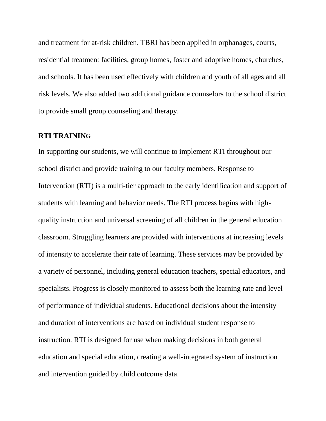and treatment for at-risk children. TBRI has been applied in orphanages, courts, residential treatment facilities, group homes, foster and adoptive homes, churches, and schools. It has been used effectively with children and youth of all ages and all risk levels. We also added two additional guidance counselors to the school district to provide small group counseling and therapy.

#### **RTI TRAINING**

In supporting our students, we will continue to implement RTI throughout our school district and provide training to our faculty members. Response to Intervention (RTI) is a multi-tier approach to the early identification and support of students with learning and behavior needs. The RTI process begins with highquality instruction and universal screening of all children in the general education classroom. Struggling learners are provided with interventions at increasing levels of intensity to accelerate their rate of learning. These services may be provided by a variety of personnel, including general education teachers, special educators, and specialists. Progress is closely monitored to assess both the learning rate and level of performance of individual students. Educational decisions about the intensity and duration of interventions are based on individual student response to instruction. RTI is designed for use when making decisions in both general education and special education, creating a well-integrated system of instruction and intervention guided by child outcome data.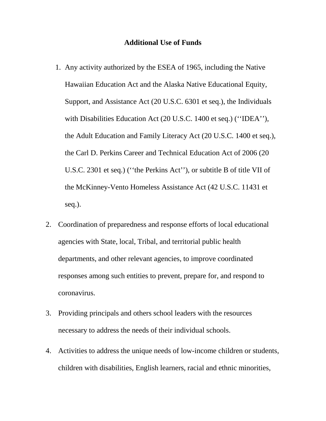#### **Additional Use of Funds**

- 1. Any activity authorized by the ESEA of 1965, including the Native Hawaiian Education Act and the Alaska Native Educational Equity, Support, and Assistance Act (20 U.S.C. 6301 et seq.), the Individuals with Disabilities Education Act (20 U.S.C. 1400 et seq.) (''IDEA''), the Adult Education and Family Literacy Act (20 U.S.C. 1400 et seq.), the Carl D. Perkins Career and Technical Education Act of 2006 (20 U.S.C. 2301 et seq.) (''the Perkins Act''), or subtitle B of title VII of the McKinney-Vento Homeless Assistance Act (42 U.S.C. 11431 et seq.).
- 2. Coordination of preparedness and response efforts of local educational agencies with State, local, Tribal, and territorial public health departments, and other relevant agencies, to improve coordinated responses among such entities to prevent, prepare for, and respond to coronavirus.
- 3. Providing principals and others school leaders with the resources necessary to address the needs of their individual schools.
- 4. Activities to address the unique needs of low-income children or students, children with disabilities, English learners, racial and ethnic minorities,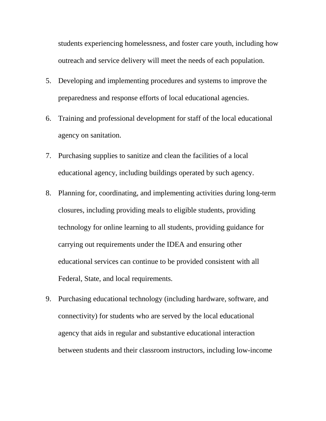students experiencing homelessness, and foster care youth, including how outreach and service delivery will meet the needs of each population.

- 5. Developing and implementing procedures and systems to improve the preparedness and response efforts of local educational agencies.
- 6. Training and professional development for staff of the local educational agency on sanitation.
- 7. Purchasing supplies to sanitize and clean the facilities of a local educational agency, including buildings operated by such agency.
- 8. Planning for, coordinating, and implementing activities during long-term closures, including providing meals to eligible students, providing technology for online learning to all students, providing guidance for carrying out requirements under the IDEA and ensuring other educational services can continue to be provided consistent with all Federal, State, and local requirements.
- 9. Purchasing educational technology (including hardware, software, and connectivity) for students who are served by the local educational agency that aids in regular and substantive educational interaction between students and their classroom instructors, including low-income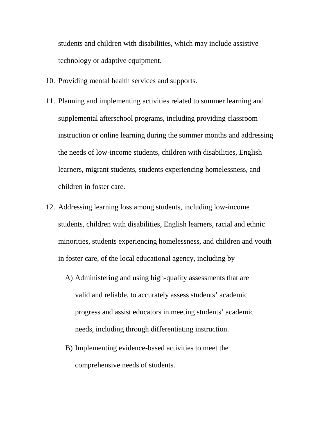students and children with disabilities, which may include assistive technology or adaptive equipment.

- 10. Providing mental health services and supports.
- 11. Planning and implementing activities related to summer learning and supplemental afterschool programs, including providing classroom instruction or online learning during the summer months and addressing the needs of low-income students, children with disabilities, English learners, migrant students, students experiencing homelessness, and children in foster care.
- 12. Addressing learning loss among students, including low-income students, children with disabilities, English learners, racial and ethnic minorities, students experiencing homelessness, and children and youth in foster care, of the local educational agency, including by—
	- A) Administering and using high-quality assessments that are valid and reliable, to accurately assess students' academic progress and assist educators in meeting students' academic needs, including through differentiating instruction.
	- B) Implementing evidence-based activities to meet the comprehensive needs of students.